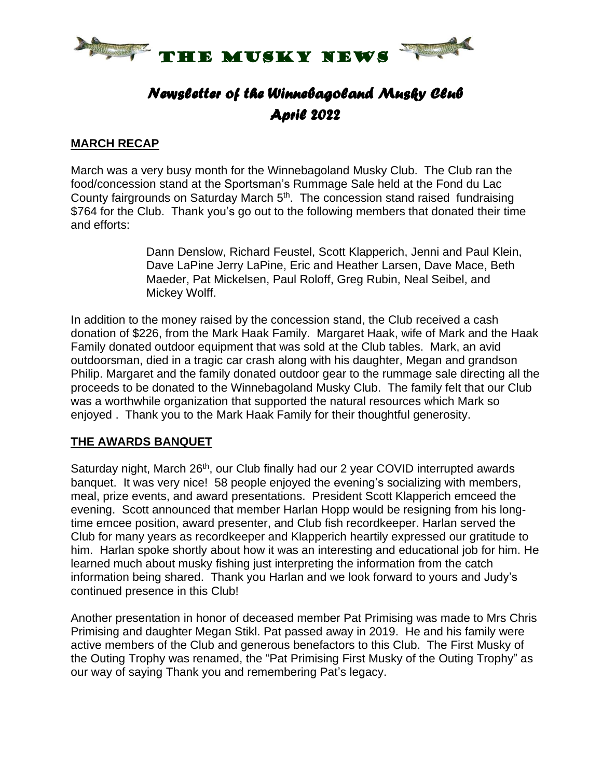

# *Newsletter of the Winnebagoland Musky Club April 2022*

#### **MARCH RECAP**

March was a very busy month for the Winnebagoland Musky Club. The Club ran the food/concession stand at the Sportsman's Rummage Sale held at the Fond du Lac County fairgrounds on Saturday March 5<sup>th</sup>. The concession stand raised fundraising \$764 for the Club. Thank you's go out to the following members that donated their time and efforts:

> Dann Denslow, Richard Feustel, Scott Klapperich, Jenni and Paul Klein, Dave LaPine Jerry LaPine, Eric and Heather Larsen, Dave Mace, Beth Maeder, Pat Mickelsen, Paul Roloff, Greg Rubin, Neal Seibel, and Mickey Wolff.

In addition to the money raised by the concession stand, the Club received a cash donation of \$226, from the Mark Haak Family. Margaret Haak, wife of Mark and the Haak Family donated outdoor equipment that was sold at the Club tables. Mark, an avid outdoorsman, died in a tragic car crash along with his daughter, Megan and grandson Philip. Margaret and the family donated outdoor gear to the rummage sale directing all the proceeds to be donated to the Winnebagoland Musky Club. The family felt that our Club was a worthwhile organization that supported the natural resources which Mark so enjoyed . Thank you to the Mark Haak Family for their thoughtful generosity.

#### **THE AWARDS BANQUET**

Saturday night, March 26<sup>th</sup>, our Club finally had our 2 year COVID interrupted awards banquet. It was very nice! 58 people enjoyed the evening's socializing with members, meal, prize events, and award presentations. President Scott Klapperich emceed the evening. Scott announced that member Harlan Hopp would be resigning from his longtime emcee position, award presenter, and Club fish recordkeeper. Harlan served the Club for many years as recordkeeper and Klapperich heartily expressed our gratitude to him. Harlan spoke shortly about how it was an interesting and educational job for him. He learned much about musky fishing just interpreting the information from the catch information being shared. Thank you Harlan and we look forward to yours and Judy's continued presence in this Club!

Another presentation in honor of deceased member Pat Primising was made to Mrs Chris Primising and daughter Megan Stikl. Pat passed away in 2019. He and his family were active members of the Club and generous benefactors to this Club. The First Musky of the Outing Trophy was renamed, the "Pat Primising First Musky of the Outing Trophy" as our way of saying Thank you and remembering Pat's legacy.